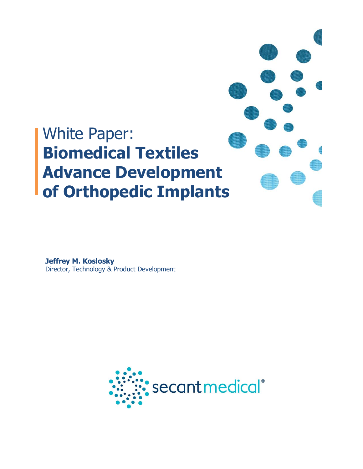

**Jeffrey M. Koslosky** Director, Technology & Product Development

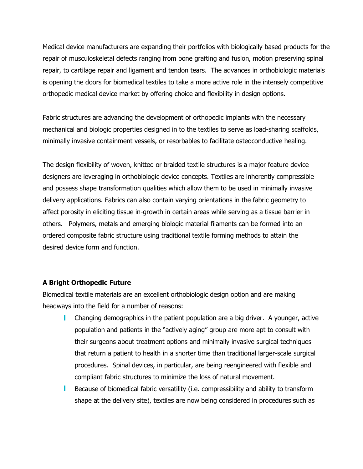Medical device manufacturers are expanding their portfolios with biologically based products for the repair of musculoskeletal defects ranging from bone grafting and fusion, motion preserving spinal repair, to cartilage repair and ligament and tendon tears. The advances in orthobiologic materials is opening the doors for biomedical textiles to take a more active role in the intensely competitive orthopedic medical device market by offering choice and flexibility in design options.

Fabric structures are advancing the development of orthopedic implants with the necessary mechanical and biologic properties designed in to the textiles to serve as load-sharing scaffolds, minimally invasive containment vessels, or resorbables to facilitate osteoconductive healing.

The design flexibility of woven, knitted or braided textile structures is a major feature device designers are leveraging in orthobiologic device concepts. Textiles are inherently compressible and possess shape transformation qualities which allow them to be used in minimally invasive delivery applications. Fabrics can also contain varying orientations in the fabric geometry to affect porosity in eliciting tissue in-growth in certain areas while serving as a tissue barrier in others. Polymers, metals and emerging biologic material filaments can be formed into an ordered composite fabric structure using traditional textile forming methods to attain the desired device form and function.

## **A Bright Orthopedic Future**

Biomedical textile materials are an excellent orthobiologic design option and are making headways into the field for a number of reasons:

- Changing demographics in the patient population are a big driver. A younger, active population and patients in the "actively aging" group are more apt to consult with their surgeons about treatment options and minimally invasive surgical techniques that return a patient to health in a shorter time than traditional larger-scale surgical procedures. Spinal devices, in particular, are being reengineered with flexible and compliant fabric structures to minimize the loss of natural movement.
- **Because of biomedical fabric versatility (i.e. compressibility and ability to transform** shape at the delivery site), textiles are now being considered in procedures such as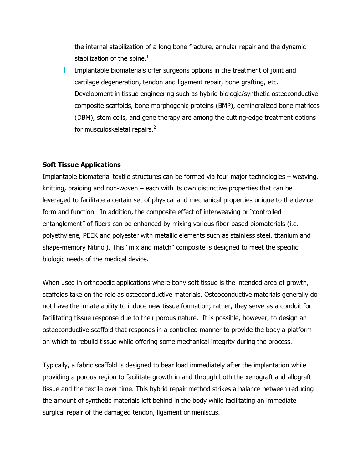the internal stabilization of a long bone fracture, annular repair and the dynamic stabilization of the spine. $<sup>1</sup>$ </sup>

a se Implantable biomaterials offer surgeons options in the treatment of joint and cartilage degeneration, tendon and ligament repair, bone grafting, etc. Development in tissue engineering such as hybrid biologic/synthetic osteoconductive composite scaffolds, bone morphogenic proteins (BMP), demineralized bone matrices (DBM), stem cells, and gene therapy are among the cutting-edge treatment options for musculoskeletal repairs.<sup>2</sup>

## **Soft Tissue Applications**

Implantable biomaterial textile structures can be formed via four major technologies – weaving, knitting, braiding and non-woven – each with its own distinctive properties that can be leveraged to facilitate a certain set of physical and mechanical properties unique to the device form and function. In addition, the composite effect of interweaving or "controlled entanglement" of fibers can be enhanced by mixing various fiber-based biomaterials (i.e. polyethylene, PEEK and polyester with metallic elements such as stainless steel, titanium and shape-memory Nitinol). This "mix and match" composite is designed to meet the specific biologic needs of the medical device.

When used in orthopedic applications where bony soft tissue is the intended area of growth, scaffolds take on the role as osteoconductive materials. Osteoconductive materials generally do not have the innate ability to induce new tissue formation; rather, they serve as a conduit for facilitating tissue response due to their porous nature. It is possible, however, to design an osteoconductive scaffold that responds in a controlled manner to provide the body a platform on which to rebuild tissue while offering some mechanical integrity during the process.

Typically, a fabric scaffold is designed to bear load immediately after the implantation while providing a porous region to facilitate growth in and through both the xenograft and allograft tissue and the textile over time. This hybrid repair method strikes a balance between reducing the amount of synthetic materials left behind in the body while facilitating an immediate surgical repair of the damaged tendon, ligament or meniscus.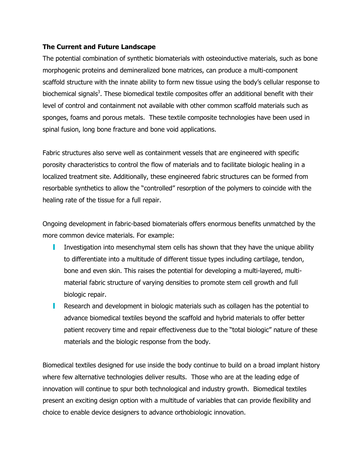## **The Current and Future Landscape**

The potential combination of synthetic biomaterials with osteoinductive materials, such as bone morphogenic proteins and demineralized bone matrices, can produce a multi-component scaffold structure with the innate ability to form new tissue using the body's cellular response to biochemical signals<sup>3</sup>. These biomedical textile composites offer an additional benefit with their level of control and containment not available with other common scaffold materials such as sponges, foams and porous metals. These textile composite technologies have been used in spinal fusion, long bone fracture and bone void applications.

Fabric structures also serve well as containment vessels that are engineered with specific porosity characteristics to control the flow of materials and to facilitate biologic healing in a localized treatment site. Additionally, these engineered fabric structures can be formed from resorbable synthetics to allow the "controlled" resorption of the polymers to coincide with the healing rate of the tissue for a full repair.

Ongoing development in fabric-based biomaterials offers enormous benefits unmatched by the more common device materials. For example:

- Investigation into mesenchymal stem cells has shown that they have the unique ability to differentiate into a multitude of different tissue types including cartilage, tendon, bone and even skin. This raises the potential for developing a multi-layered, multimaterial fabric structure of varying densities to promote stem cell growth and full biologic repair.
- **Research and development in biologic materials such as collagen has the potential to** advance biomedical textiles beyond the scaffold and hybrid materials to offer better patient recovery time and repair effectiveness due to the "total biologic" nature of these materials and the biologic response from the body.

Biomedical textiles designed for use inside the body continue to build on a broad implant history where few alternative technologies deliver results. Those who are at the leading edge of innovation will continue to spur both technological and industry growth. Biomedical textiles present an exciting design option with a multitude of variables that can provide flexibility and choice to enable device designers to advance orthobiologic innovation.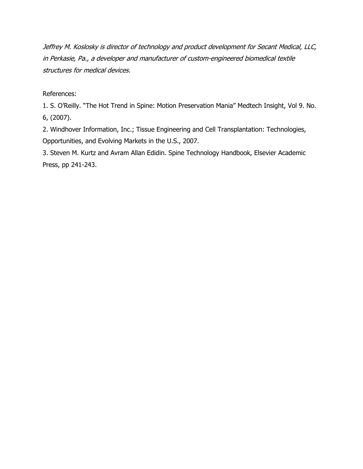Jeffrey M. Koslosky is director of technology and product development for Secant Medical, LLC, in Perkasie, Pa., a developer and manufacturer of custom-engineered biomedical textile structures for medical devices.

References:

1. S. O'Reilly. "The Hot Trend in Spine: Motion Preservation Mania" Medtech Insight, Vol 9. No. 6, (2007).

2. Windhover Information, Inc.; Tissue Engineering and Cell Transplantation: Technologies, Opportunities, and Evolving Markets in the U.S., 2007.

3. Steven M. Kurtz and Avram Allan Edidin. Spine Technology Handbook, Elsevier Academic Press, pp 241-243.